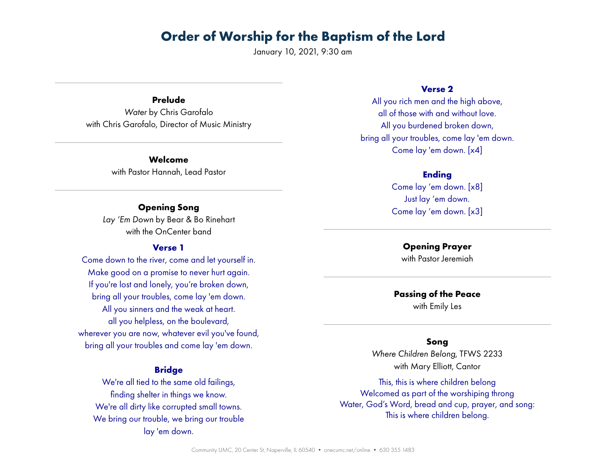January 10, 2021, 9:30 am

**Prelude** *Water* by Chris Garofalo with Chris Garofalo, Director of Music Ministry

> **Welcome** with Pastor Hannah, Lead Pastor

## **Opening Song**

*Lay 'Em Down* by Bear & Bo Rinehart with the OnCenter band

### **Verse 1**

Come down to the river, come and let yourself in. Make good on a promise to never hurt again. If you're lost and lonely, you're broken down, bring all your troubles, come lay 'em down. All you sinners and the weak at heart. all you helpless, on the boulevard, wherever you are now, whatever evil you've found, bring all your troubles and come lay 'em down.

### **Bridge**

We're all tied to the same old failings, finding shelter in things we know. We're all dirty like corrupted small towns. We bring our trouble, we bring our trouble lay 'em down.

#### **Verse 2**

All you rich men and the high above, all of those with and without love. All you burdened broken down, bring all your troubles, come lay 'em down. Come lay 'em down. [x4]

## **Ending**

Come lay 'em down. [x8] Just lay 'em down. Come lay 'em down. [x3]

> **Opening Prayer** with Pastor Jeremiah

**Passing of the Peace** with Emily Les

#### **Song**

*Where Children Belong*, TFWS 2233 with Mary Elliott, Cantor

This, this is where children belong Welcomed as part of the worshiping throng Water, God's Word, bread and cup, prayer, and song: This is where children belong.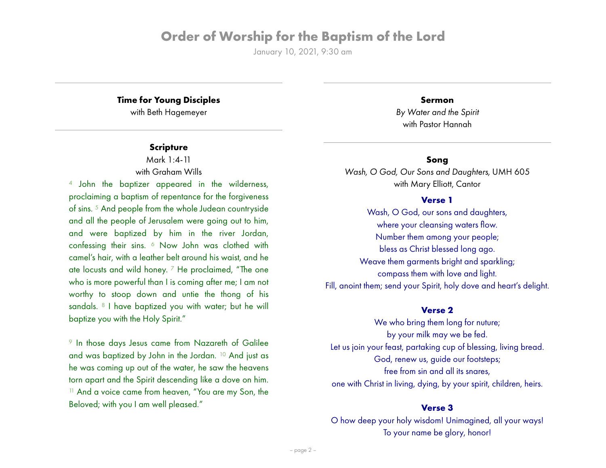January 10, 2021, 9:30 am

# **Time for Young Disciples**

with Beth Hagemeyer

## **Scripture**

Mark 1:4-11 with Graham Wills

4 John the baptizer appeared in the wilderness, proclaiming a baptism of repentance for the forgiveness of sins.<sup>5</sup> And people from the whole Judean countryside and all the people of Jerusalem were going out to him, and were baptized by him in the river Jordan, confessing their sins. 6 Now John was clothed with camel's hair, with a leather belt around his waist, and he ate locusts and wild honey.  $7$  He proclaimed, "The one who is more powerful than I is coming after me; I am not worthy to stoop down and untie the thong of his sandals. <sup>8</sup> I have baptized you with water; but he will baptize you with the Holy Spirit."

9 In those days Jesus came from Nazareth of Galilee and was baptized by John in the Jordan. 10 And just as he was coming up out of the water, he saw the heavens torn apart and the Spirit descending like a dove on him. <sup>11</sup> And a voice came from heaven, "You are my Son, the Beloved; with you I am well pleased."

*By Water and the Spirit* with Pastor Hannah

**Sermon**

## **Song**

*Wash, O God, Our Sons and Daughters,* UMH 605 with Mary Elliott, Cantor

#### **Verse 1**

Wash, O God, our sons and daughters, where your cleansing waters flow. Number them among your people; bless as Christ blessed long ago. Weave them garments bright and sparkling; compass them with love and light. Fill, anoint them; send your Spirit, holy dove and heart's delight.

### **Verse 2**

We who bring them long for nuture; by your milk may we be fed. Let us join your feast, partaking cup of blessing, living bread. God, renew us, guide our footsteps; free from sin and all its snares, one with Christ in living, dying, by your spirit, children, heirs.

### **Verse 3**

O how deep your holy wisdom! Unimagined, all your ways! To your name be glory, honor!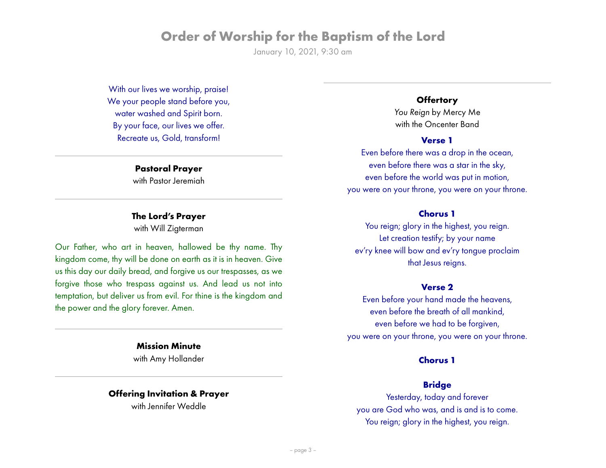January 10, 2021, 9:30 am

With our lives we worship, praise! We your people stand before you, water washed and Spirit born. By your face, our lives we offer. Recreate us, Gold, transform!

### **Pastoral Prayer** with Pastor Jeremiah

# **The Lord's Prayer**

with Will Zigterman

Our Father, who art in heaven, hallowed be thy name. Thy kingdom come, thy will be done on earth as it is in heaven. Give us this day our daily bread, and forgive us our trespasses, as we forgive those who trespass against us. And lead us not into temptation, but deliver us from evil. For thine is the kingdom and the power and the glory forever. Amen.

> **Mission Minute** with Amy Hollander

#### **Offering Invitation & Prayer**

with Jennifer Weddle

## **Offertory**

*You Reign* by Mercy Me with the Oncenter Band

#### **Verse 1**

Even before there was a drop in the ocean, even before there was a star in the sky, even before the world was put in motion, you were on your throne, you were on your throne.

### **Chorus 1**

You reign; glory in the highest, you reign. Let creation testify; by your name ev'ry knee will bow and ev'ry tongue proclaim that Jesus reigns.

### **Verse 2**

Even before your hand made the heavens, even before the breath of all mankind, even before we had to be forgiven, you were on your throne, you were on your throne.

## **Chorus 1**

## **Bridge**

Yesterday, today and forever you are God who was, and is and is to come. You reign; glory in the highest, you reign.